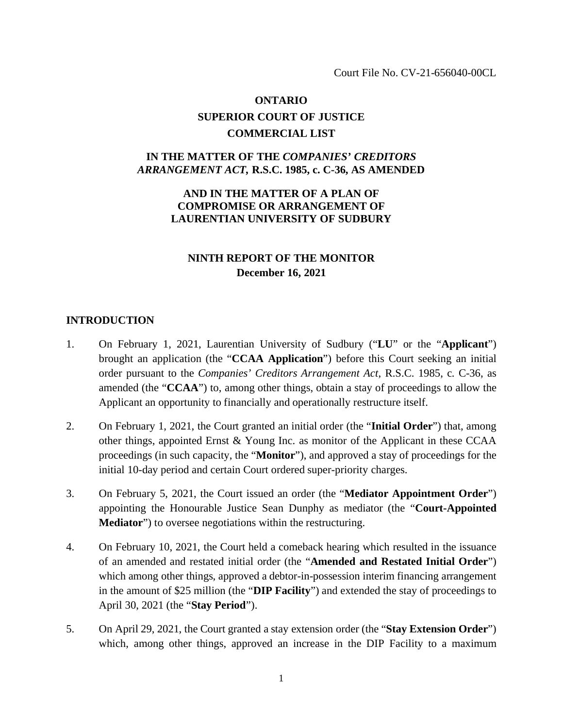Court File No. CV-21-656040-00CL

## **ONTARIO SUPERIOR COURT OF JUSTICE COMMERCIAL LIST**

### **IN THE MATTER OF THE** *COMPANIES' CREDITORS ARRANGEMENT ACT,* **R.S.C. 1985, c. C-36, AS AMENDED**

### **AND IN THE MATTER OF A PLAN OF COMPROMISE OR ARRANGEMENT OF LAURENTIAN UNIVERSITY OF SUDBURY**

## **NINTH REPORT OF THE MONITOR December 16, 2021**

#### **INTRODUCTION**

- 1. On February 1, 2021, Laurentian University of Sudbury ("**LU**" or the "**Applicant**") brought an application (the "**CCAA Application**") before this Court seeking an initial order pursuant to the *Companies' Creditors Arrangement Act*, R.S.C. 1985, c. C-36, as amended (the "**CCAA**") to, among other things, obtain a stay of proceedings to allow the Applicant an opportunity to financially and operationally restructure itself.
- 2. On February 1, 2021, the Court granted an initial order (the "**Initial Order**") that, among other things, appointed Ernst & Young Inc. as monitor of the Applicant in these CCAA proceedings (in such capacity, the "**Monitor**"), and approved a stay of proceedings for the initial 10-day period and certain Court ordered super-priority charges.
- 3. On February 5, 2021, the Court issued an order (the "**Mediator Appointment Order**") appointing the Honourable Justice Sean Dunphy as mediator (the "**Court-Appointed Mediator**") to oversee negotiations within the restructuring.
- 4. On February 10, 2021, the Court held a comeback hearing which resulted in the issuance of an amended and restated initial order (the "**Amended and Restated Initial Order**") which among other things, approved a debtor-in-possession interim financing arrangement in the amount of \$25 million (the "**DIP Facility**") and extended the stay of proceedings to April 30, 2021 (the "**Stay Period**").
- 5. On April 29, 2021, the Court granted a stay extension order (the "**Stay Extension Order**") which, among other things, approved an increase in the DIP Facility to a maximum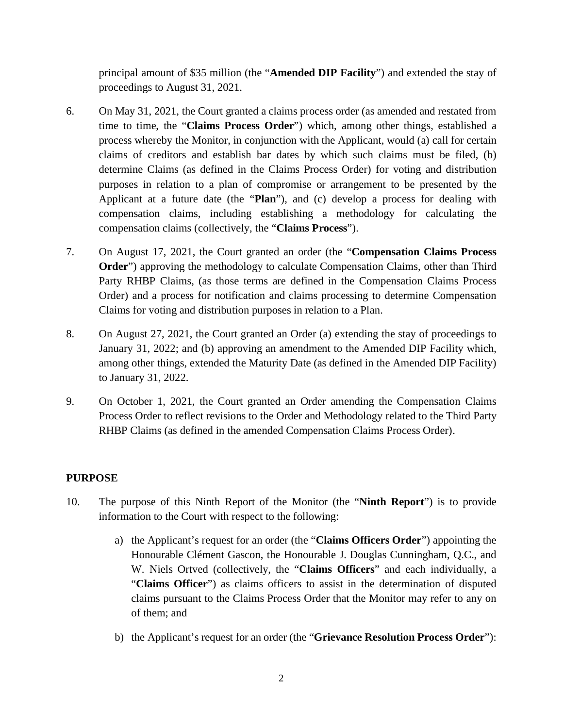principal amount of \$35 million (the "**Amended DIP Facility**") and extended the stay of proceedings to August 31, 2021.

- 6. On May 31, 2021, the Court granted a claims process order (as amended and restated from time to time, the "**Claims Process Order**") which, among other things, established a process whereby the Monitor, in conjunction with the Applicant, would (a) call for certain claims of creditors and establish bar dates by which such claims must be filed, (b) determine Claims (as defined in the Claims Process Order) for voting and distribution purposes in relation to a plan of compromise or arrangement to be presented by the Applicant at a future date (the "**Plan**"), and (c) develop a process for dealing with compensation claims, including establishing a methodology for calculating the compensation claims (collectively, the "**Claims Process**").
- 7. On August 17, 2021, the Court granted an order (the "**Compensation Claims Process Order**") approving the methodology to calculate Compensation Claims, other than Third Party RHBP Claims, (as those terms are defined in the Compensation Claims Process Order) and a process for notification and claims processing to determine Compensation Claims for voting and distribution purposes in relation to a Plan.
- 8. On August 27, 2021, the Court granted an Order (a) extending the stay of proceedings to January 31, 2022; and (b) approving an amendment to the Amended DIP Facility which, among other things, extended the Maturity Date (as defined in the Amended DIP Facility) to January 31, 2022.
- 9. On October 1, 2021, the Court granted an Order amending the Compensation Claims Process Order to reflect revisions to the Order and Methodology related to the Third Party RHBP Claims (as defined in the amended Compensation Claims Process Order).

## **PURPOSE**

- 10. The purpose of this Ninth Report of the Monitor (the "**Ninth Report**") is to provide information to the Court with respect to the following:
	- a) the Applicant's request for an order (the "**Claims Officers Order**") appointing the Honourable Clément Gascon, the Honourable J. Douglas Cunningham, Q.C., and W. Niels Ortved (collectively, the "**Claims Officers**" and each individually, a "**Claims Officer**") as claims officers to assist in the determination of disputed claims pursuant to the Claims Process Order that the Monitor may refer to any on of them; and
	- b) the Applicant's request for an order (the "**Grievance Resolution Process Order**"):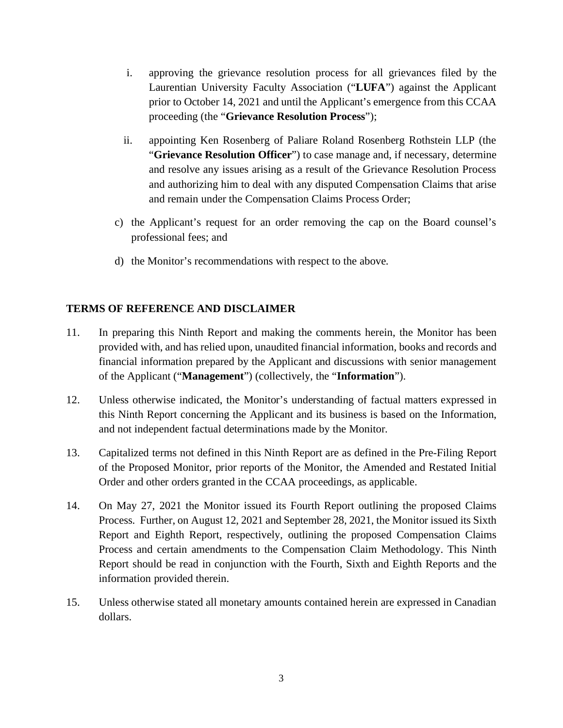- i. approving the grievance resolution process for all grievances filed by the Laurentian University Faculty Association ("**LUFA**") against the Applicant prior to October 14, 2021 and until the Applicant's emergence from this CCAA proceeding (the "**Grievance Resolution Process**");
- ii. appointing Ken Rosenberg of Paliare Roland Rosenberg Rothstein LLP (the "**Grievance Resolution Officer**") to case manage and, if necessary, determine and resolve any issues arising as a result of the Grievance Resolution Process and authorizing him to deal with any disputed Compensation Claims that arise and remain under the Compensation Claims Process Order;
- c) the Applicant's request for an order removing the cap on the Board counsel's professional fees; and
- d) the Monitor's recommendations with respect to the above.

## **TERMS OF REFERENCE AND DISCLAIMER**

- 11. In preparing this Ninth Report and making the comments herein, the Monitor has been provided with, and has relied upon, unaudited financial information, books and records and financial information prepared by the Applicant and discussions with senior management of the Applicant ("**Management**") (collectively, the "**Information**").
- 12. Unless otherwise indicated, the Monitor's understanding of factual matters expressed in this Ninth Report concerning the Applicant and its business is based on the Information, and not independent factual determinations made by the Monitor.
- 13. Capitalized terms not defined in this Ninth Report are as defined in the Pre-Filing Report of the Proposed Monitor, prior reports of the Monitor, the Amended and Restated Initial Order and other orders granted in the CCAA proceedings, as applicable.
- 14. On May 27, 2021 the Monitor issued its Fourth Report outlining the proposed Claims Process. Further, on August 12, 2021 and September 28, 2021, the Monitor issued its Sixth Report and Eighth Report, respectively, outlining the proposed Compensation Claims Process and certain amendments to the Compensation Claim Methodology. This Ninth Report should be read in conjunction with the Fourth, Sixth and Eighth Reports and the information provided therein.
- 15. Unless otherwise stated all monetary amounts contained herein are expressed in Canadian dollars.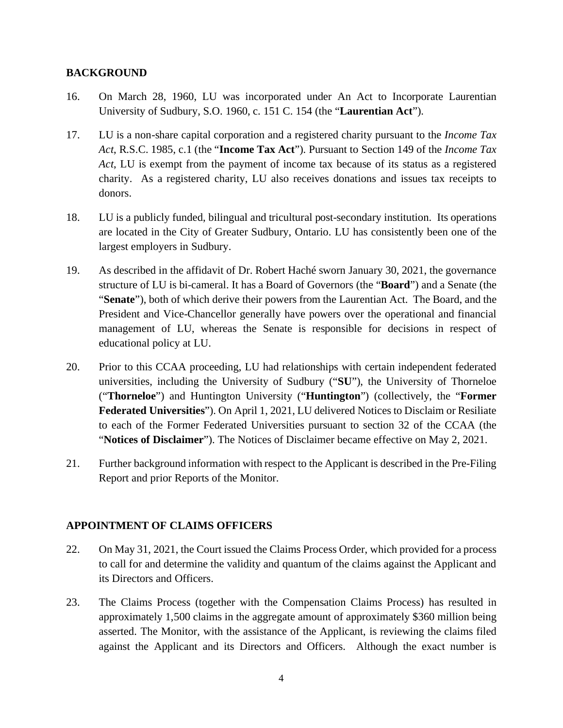#### **BACKGROUND**

- 16. On March 28, 1960, LU was incorporated under An Act to Incorporate Laurentian University of Sudbury, S.O. 1960, c. 151 C. 154 (the "**Laurentian Act**").
- 17. LU is a non-share capital corporation and a registered charity pursuant to the *Income Tax Act*, R.S.C. 1985, c.1 (the "**Income Tax Act**"). Pursuant to Section 149 of the *Income Tax Act*, LU is exempt from the payment of income tax because of its status as a registered charity. As a registered charity, LU also receives donations and issues tax receipts to donors.
- 18. LU is a publicly funded, bilingual and tricultural post-secondary institution. Its operations are located in the City of Greater Sudbury, Ontario. LU has consistently been one of the largest employers in Sudbury.
- 19. As described in the affidavit of Dr. Robert Haché sworn January 30, 2021, the governance structure of LU is bi-cameral. It has a Board of Governors (the "**Board**") and a Senate (the "**Senate**"), both of which derive their powers from the Laurentian Act. The Board, and the President and Vice-Chancellor generally have powers over the operational and financial management of LU, whereas the Senate is responsible for decisions in respect of educational policy at LU.
- 20. Prior to this CCAA proceeding, LU had relationships with certain independent federated universities, including the University of Sudbury ("**SU**"), the University of Thorneloe ("**Thorneloe**") and Huntington University ("**Huntington**") (collectively, the "**Former Federated Universities**"). On April 1, 2021, LU delivered Notices to Disclaim or Resiliate to each of the Former Federated Universities pursuant to section 32 of the CCAA (the "**Notices of Disclaimer**"). The Notices of Disclaimer became effective on May 2, 2021.
- 21. Further background information with respect to the Applicant is described in the Pre-Filing Report and prior Reports of the Monitor.

## **APPOINTMENT OF CLAIMS OFFICERS**

- 22. On May 31, 2021, the Court issued the Claims Process Order, which provided for a process to call for and determine the validity and quantum of the claims against the Applicant and its Directors and Officers.
- 23. The Claims Process (together with the Compensation Claims Process) has resulted in approximately 1,500 claims in the aggregate amount of approximately \$360 million being asserted. The Monitor, with the assistance of the Applicant, is reviewing the claims filed against the Applicant and its Directors and Officers. Although the exact number is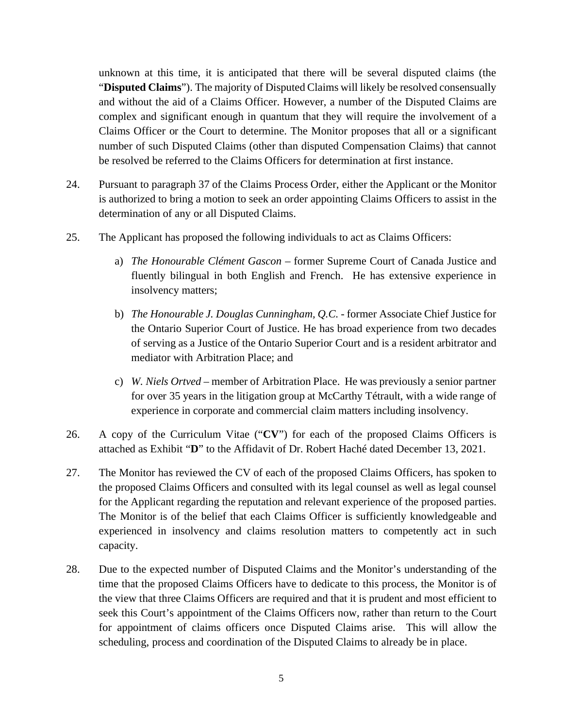unknown at this time, it is anticipated that there will be several disputed claims (the "**Disputed Claims**"). The majority of Disputed Claims will likely be resolved consensually and without the aid of a Claims Officer. However, a number of the Disputed Claims are complex and significant enough in quantum that they will require the involvement of a Claims Officer or the Court to determine. The Monitor proposes that all or a significant number of such Disputed Claims (other than disputed Compensation Claims) that cannot be resolved be referred to the Claims Officers for determination at first instance.

- 24. Pursuant to paragraph 37 of the Claims Process Order, either the Applicant or the Monitor is authorized to bring a motion to seek an order appointing Claims Officers to assist in the determination of any or all Disputed Claims.
- 25. The Applicant has proposed the following individuals to act as Claims Officers:
	- a) *The Honourable Clément Gascon* former Supreme Court of Canada Justice and fluently bilingual in both English and French. He has extensive experience in insolvency matters;
	- b) *The Honourable J. Douglas Cunningham, Q.C.* former Associate Chief Justice for the Ontario Superior Court of Justice. He has broad experience from two decades of serving as a Justice of the Ontario Superior Court and is a resident arbitrator and mediator with Arbitration Place; and
	- c) *W. Niels Ortved* member of Arbitration Place. He was previously a senior partner for over 35 years in the litigation group at McCarthy Tétrault, with a wide range of experience in corporate and commercial claim matters including insolvency.
- 26. A copy of the Curriculum Vitae ("**CV**") for each of the proposed Claims Officers is attached as Exhibit "**D**" to the Affidavit of Dr. Robert Haché dated December 13, 2021.
- 27. The Monitor has reviewed the CV of each of the proposed Claims Officers, has spoken to the proposed Claims Officers and consulted with its legal counsel as well as legal counsel for the Applicant regarding the reputation and relevant experience of the proposed parties. The Monitor is of the belief that each Claims Officer is sufficiently knowledgeable and experienced in insolvency and claims resolution matters to competently act in such capacity.
- 28. Due to the expected number of Disputed Claims and the Monitor's understanding of the time that the proposed Claims Officers have to dedicate to this process, the Monitor is of the view that three Claims Officers are required and that it is prudent and most efficient to seek this Court's appointment of the Claims Officers now, rather than return to the Court for appointment of claims officers once Disputed Claims arise. This will allow the scheduling, process and coordination of the Disputed Claims to already be in place.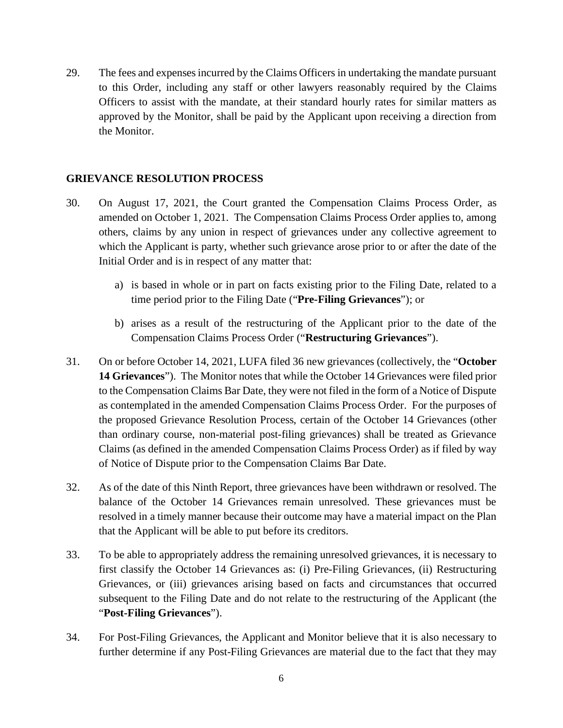29. The fees and expenses incurred by the Claims Officers in undertaking the mandate pursuant to this Order, including any staff or other lawyers reasonably required by the Claims Officers to assist with the mandate, at their standard hourly rates for similar matters as approved by the Monitor, shall be paid by the Applicant upon receiving a direction from the Monitor.

#### **GRIEVANCE RESOLUTION PROCESS**

- 30. On August 17, 2021, the Court granted the Compensation Claims Process Order, as amended on October 1, 2021. The Compensation Claims Process Order applies to, among others, claims by any union in respect of grievances under any collective agreement to which the Applicant is party, whether such grievance arose prior to or after the date of the Initial Order and is in respect of any matter that:
	- a) is based in whole or in part on facts existing prior to the Filing Date, related to a time period prior to the Filing Date ("**Pre-Filing Grievances**"); or
	- b) arises as a result of the restructuring of the Applicant prior to the date of the Compensation Claims Process Order ("**Restructuring Grievances**").
- 31. On or before October 14, 2021, LUFA filed 36 new grievances (collectively, the "**October 14 Grievances**"). The Monitor notes that while the October 14 Grievances were filed prior to the Compensation Claims Bar Date, they were not filed in the form of a Notice of Dispute as contemplated in the amended Compensation Claims Process Order. For the purposes of the proposed Grievance Resolution Process, certain of the October 14 Grievances (other than ordinary course, non-material post-filing grievances) shall be treated as Grievance Claims (as defined in the amended Compensation Claims Process Order) as if filed by way of Notice of Dispute prior to the Compensation Claims Bar Date.
- 32. As of the date of this Ninth Report, three grievances have been withdrawn or resolved. The balance of the October 14 Grievances remain unresolved. These grievances must be resolved in a timely manner because their outcome may have a material impact on the Plan that the Applicant will be able to put before its creditors.
- 33. To be able to appropriately address the remaining unresolved grievances, it is necessary to first classify the October 14 Grievances as: (i) Pre-Filing Grievances, (ii) Restructuring Grievances, or (iii) grievances arising based on facts and circumstances that occurred subsequent to the Filing Date and do not relate to the restructuring of the Applicant (the "**Post-Filing Grievances**").
- 34. For Post-Filing Grievances, the Applicant and Monitor believe that it is also necessary to further determine if any Post-Filing Grievances are material due to the fact that they may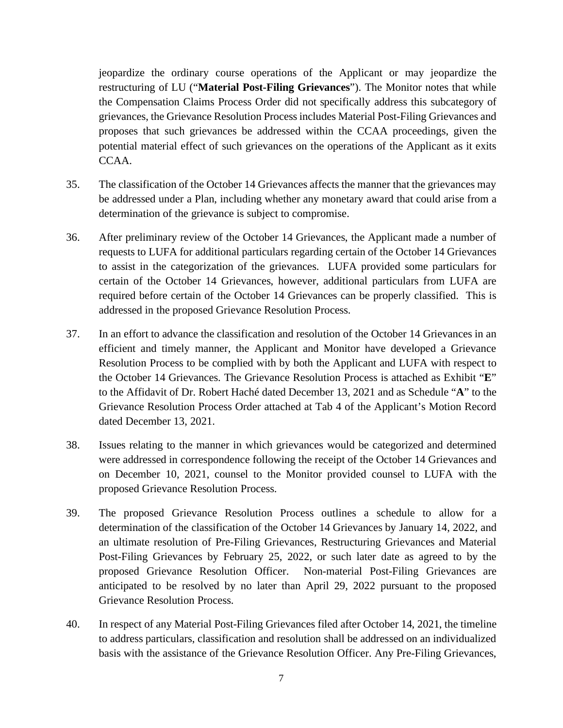jeopardize the ordinary course operations of the Applicant or may jeopardize the restructuring of LU ("**Material Post-Filing Grievances**"). The Monitor notes that while the Compensation Claims Process Order did not specifically address this subcategory of grievances, the Grievance Resolution Process includes Material Post-Filing Grievances and proposes that such grievances be addressed within the CCAA proceedings, given the potential material effect of such grievances on the operations of the Applicant as it exits CCAA.

- 35. The classification of the October 14 Grievances affects the manner that the grievances may be addressed under a Plan, including whether any monetary award that could arise from a determination of the grievance is subject to compromise.
- 36. After preliminary review of the October 14 Grievances, the Applicant made a number of requests to LUFA for additional particulars regarding certain of the October 14 Grievances to assist in the categorization of the grievances. LUFA provided some particulars for certain of the October 14 Grievances, however, additional particulars from LUFA are required before certain of the October 14 Grievances can be properly classified. This is addressed in the proposed Grievance Resolution Process.
- 37. In an effort to advance the classification and resolution of the October 14 Grievances in an efficient and timely manner, the Applicant and Monitor have developed a Grievance Resolution Process to be complied with by both the Applicant and LUFA with respect to the October 14 Grievances. The Grievance Resolution Process is attached as Exhibit "**E**" to the Affidavit of Dr. Robert Haché dated December 13, 2021 and as Schedule "**A**" to the Grievance Resolution Process Order attached at Tab 4 of the Applicant's Motion Record dated December 13, 2021.
- 38. Issues relating to the manner in which grievances would be categorized and determined were addressed in correspondence following the receipt of the October 14 Grievances and on December 10, 2021, counsel to the Monitor provided counsel to LUFA with the proposed Grievance Resolution Process.
- 39. The proposed Grievance Resolution Process outlines a schedule to allow for a determination of the classification of the October 14 Grievances by January 14, 2022, and an ultimate resolution of Pre-Filing Grievances, Restructuring Grievances and Material Post-Filing Grievances by February 25, 2022, or such later date as agreed to by the proposed Grievance Resolution Officer. Non-material Post-Filing Grievances are anticipated to be resolved by no later than April 29, 2022 pursuant to the proposed Grievance Resolution Process.
- 40. In respect of any Material Post-Filing Grievances filed after October 14, 2021, the timeline to address particulars, classification and resolution shall be addressed on an individualized basis with the assistance of the Grievance Resolution Officer. Any Pre-Filing Grievances,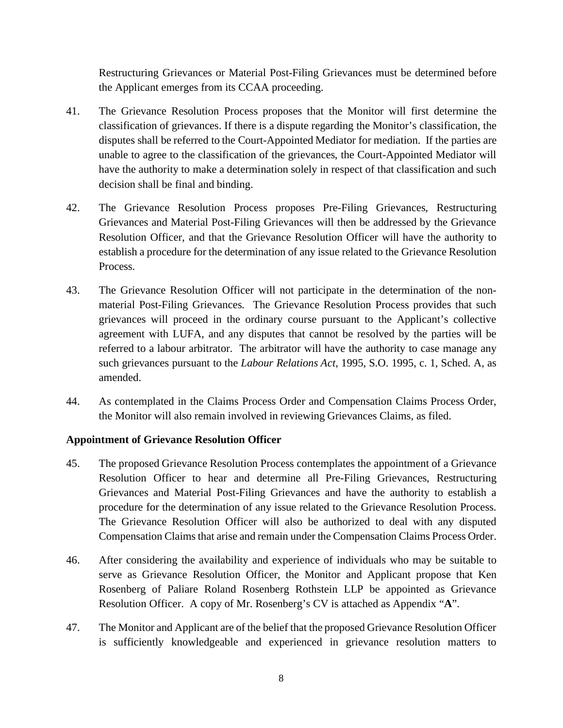Restructuring Grievances or Material Post-Filing Grievances must be determined before the Applicant emerges from its CCAA proceeding.

- 41. The Grievance Resolution Process proposes that the Monitor will first determine the classification of grievances. If there is a dispute regarding the Monitor's classification, the disputes shall be referred to the Court-Appointed Mediator for mediation. If the parties are unable to agree to the classification of the grievances, the Court-Appointed Mediator will have the authority to make a determination solely in respect of that classification and such decision shall be final and binding.
- 42. The Grievance Resolution Process proposes Pre-Filing Grievances, Restructuring Grievances and Material Post-Filing Grievances will then be addressed by the Grievance Resolution Officer, and that the Grievance Resolution Officer will have the authority to establish a procedure for the determination of any issue related to the Grievance Resolution Process.
- 43. The Grievance Resolution Officer will not participate in the determination of the nonmaterial Post-Filing Grievances. The Grievance Resolution Process provides that such grievances will proceed in the ordinary course pursuant to the Applicant's collective agreement with LUFA, and any disputes that cannot be resolved by the parties will be referred to a labour arbitrator. The arbitrator will have the authority to case manage any such grievances pursuant to the *Labour Relations Act*, 1995, S.O. 1995, c. 1, Sched. A, as amended.
- 44. As contemplated in the Claims Process Order and Compensation Claims Process Order, the Monitor will also remain involved in reviewing Grievances Claims, as filed.

## **Appointment of Grievance Resolution Officer**

- 45. The proposed Grievance Resolution Process contemplates the appointment of a Grievance Resolution Officer to hear and determine all Pre-Filing Grievances, Restructuring Grievances and Material Post-Filing Grievances and have the authority to establish a procedure for the determination of any issue related to the Grievance Resolution Process. The Grievance Resolution Officer will also be authorized to deal with any disputed Compensation Claims that arise and remain under the Compensation Claims Process Order.
- 46. After considering the availability and experience of individuals who may be suitable to serve as Grievance Resolution Officer, the Monitor and Applicant propose that Ken Rosenberg of Paliare Roland Rosenberg Rothstein LLP be appointed as Grievance Resolution Officer. A copy of Mr. Rosenberg's CV is attached as Appendix "**A**".
- 47. The Monitor and Applicant are of the belief that the proposed Grievance Resolution Officer is sufficiently knowledgeable and experienced in grievance resolution matters to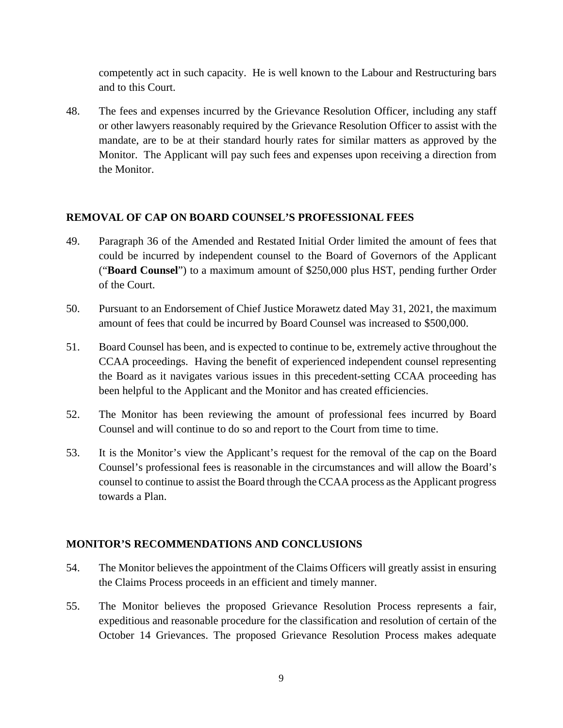competently act in such capacity. He is well known to the Labour and Restructuring bars and to this Court.

48. The fees and expenses incurred by the Grievance Resolution Officer, including any staff or other lawyers reasonably required by the Grievance Resolution Officer to assist with the mandate, are to be at their standard hourly rates for similar matters as approved by the Monitor. The Applicant will pay such fees and expenses upon receiving a direction from the Monitor.

#### **REMOVAL OF CAP ON BOARD COUNSEL'S PROFESSIONAL FEES**

- 49. Paragraph 36 of the Amended and Restated Initial Order limited the amount of fees that could be incurred by independent counsel to the Board of Governors of the Applicant ("**Board Counsel**") to a maximum amount of \$250,000 plus HST, pending further Order of the Court.
- 50. Pursuant to an Endorsement of Chief Justice Morawetz dated May 31, 2021, the maximum amount of fees that could be incurred by Board Counsel was increased to \$500,000.
- 51. Board Counsel has been, and is expected to continue to be, extremely active throughout the CCAA proceedings. Having the benefit of experienced independent counsel representing the Board as it navigates various issues in this precedent-setting CCAA proceeding has been helpful to the Applicant and the Monitor and has created efficiencies.
- 52. The Monitor has been reviewing the amount of professional fees incurred by Board Counsel and will continue to do so and report to the Court from time to time.
- 53. It is the Monitor's view the Applicant's request for the removal of the cap on the Board Counsel's professional fees is reasonable in the circumstances and will allow the Board's counsel to continue to assist the Board through the CCAA process as the Applicant progress towards a Plan.

#### **MONITOR'S RECOMMENDATIONS AND CONCLUSIONS**

- 54. The Monitor believes the appointment of the Claims Officers will greatly assist in ensuring the Claims Process proceeds in an efficient and timely manner.
- 55. The Monitor believes the proposed Grievance Resolution Process represents a fair, expeditious and reasonable procedure for the classification and resolution of certain of the October 14 Grievances. The proposed Grievance Resolution Process makes adequate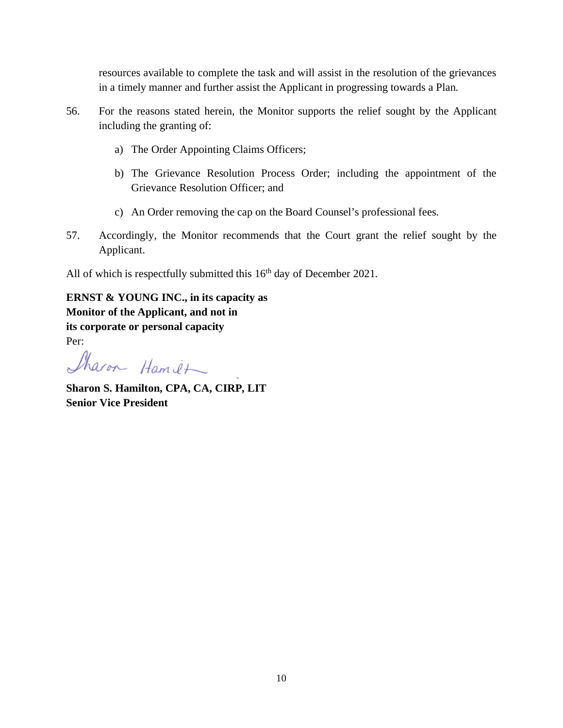resources available to complete the task and will assist in the resolution of the grievances in a timely manner and further assist the Applicant in progressing towards a Plan.

- 56. For the reasons stated herein, the Monitor supports the relief sought by the Applicant including the granting of:
	- a) The Order Appointing Claims Officers;
	- b) The Grievance Resolution Process Order; including the appointment of the Grievance Resolution Officer; and
	- c) An Order removing the cap on the Board Counsel's professional fees.
- 57. Accordingly, the Monitor recommends that the Court grant the relief sought by the Applicant.

All of which is respectfully submitted this  $16<sup>th</sup>$  day of December 2021.

**ERNST & YOUNG INC., in its capacity as Monitor of the Applicant, and not in its corporate or personal capacity** Per:

Sharon Hamit

**Sharon S. Hamilton, CPA, CA, CIRP, LIT Senior Vice President**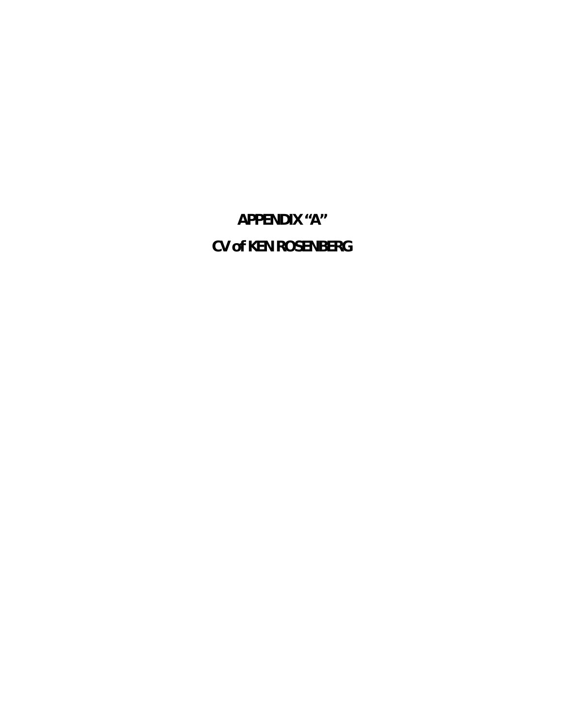**APPENDIX "A" CV of KEN ROSENBERG**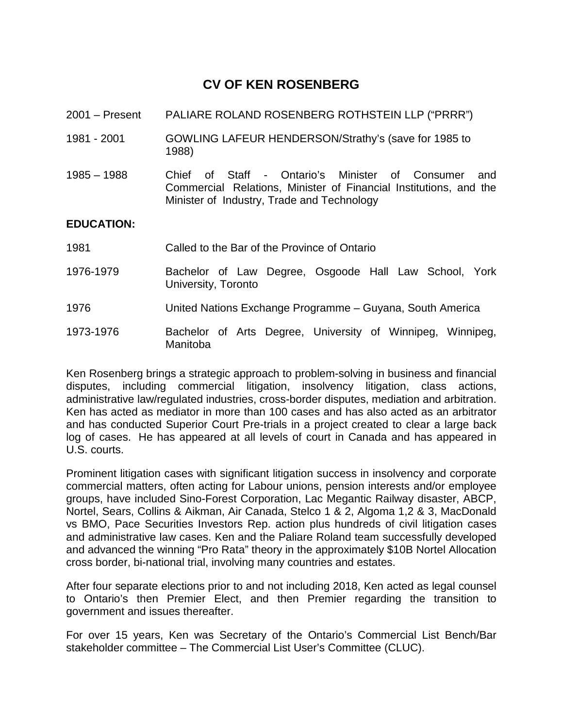# **CV OF KEN ROSENBERG**

- 2001 Present PALIARE ROLAND ROSENBERG ROTHSTEIN LLP ("PRRR")
- 1981 2001 GOWLING LAFEUR HENDERSON/Strathy's (save for 1985 to 1988)
- 1985 1988 Chief of Staff Ontario's Minister of Consumer and Commercial Relations, Minister of Financial Institutions, and the Minister of Industry, Trade and Technology

#### **EDUCATION:**

- 1981 Called to the Bar of the Province of Ontario
- 1976-1979 Bachelor of Law Degree, Osgoode Hall Law School, York University, Toronto
- 1976 United Nations Exchange Programme Guyana, South America
- 1973-1976 Bachelor of Arts Degree, University of Winnipeg, Winnipeg, Manitoba

Ken Rosenberg brings a strategic approach to problem-solving in business and financial disputes, including commercial litigation, insolvency litigation, class actions, administrative law/regulated industries, cross-border disputes, mediation and arbitration. Ken has acted as mediator in more than 100 cases and has also acted as an arbitrator and has conducted Superior Court Pre-trials in a project created to clear a large back log of cases. He has appeared at all levels of court in Canada and has appeared in U.S. courts.

Prominent litigation cases with significant litigation success in insolvency and corporate commercial matters, often acting for Labour unions, pension interests and/or employee groups, have included Sino-Forest Corporation, Lac Megantic Railway disaster, ABCP, Nortel, Sears, Collins & Aikman, Air Canada, Stelco 1 & 2, Algoma 1,2 & 3, MacDonald vs BMO, Pace Securities Investors Rep. action plus hundreds of civil litigation cases and administrative law cases. Ken and the Paliare Roland team successfully developed and advanced the winning "Pro Rata" theory in the approximately \$10B Nortel Allocation cross border, bi-national trial, involving many countries and estates.

After four separate elections prior to and not including 2018, Ken acted as legal counsel to Ontario's then Premier Elect, and then Premier regarding the transition to government and issues thereafter.

For over 15 years, Ken was Secretary of the Ontario's Commercial List Bench/Bar stakeholder committee – The Commercial List User's Committee (CLUC).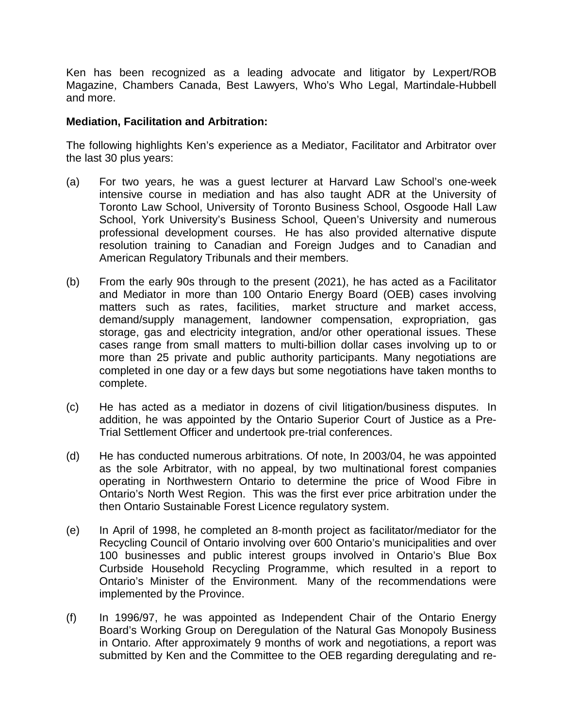Ken has been recognized as a leading advocate and litigator by Lexpert/ROB Magazine, Chambers Canada, Best Lawyers, Who's Who Legal, Martindale-Hubbell and more.

### **Mediation, Facilitation and Arbitration:**

The following highlights Ken's experience as a Mediator, Facilitator and Arbitrator over the last 30 plus years:

- (a) For two years, he was a guest lecturer at Harvard Law School's one-week intensive course in mediation and has also taught ADR at the University of Toronto Law School, University of Toronto Business School, Osgoode Hall Law School, York University's Business School, Queen's University and numerous professional development courses. He has also provided alternative dispute resolution training to Canadian and Foreign Judges and to Canadian and American Regulatory Tribunals and their members.
- (b) From the early 90s through to the present (2021), he has acted as a Facilitator and Mediator in more than 100 Ontario Energy Board (OEB) cases involving matters such as rates, facilities, market structure and market access, demand/supply management, landowner compensation, expropriation, gas storage, gas and electricity integration, and/or other operational issues. These cases range from small matters to multi-billion dollar cases involving up to or more than 25 private and public authority participants. Many negotiations are completed in one day or a few days but some negotiations have taken months to complete.
- (c) He has acted as a mediator in dozens of civil litigation/business disputes. In addition, he was appointed by the Ontario Superior Court of Justice as a Pre-Trial Settlement Officer and undertook pre-trial conferences.
- (d) He has conducted numerous arbitrations. Of note, In 2003/04, he was appointed as the sole Arbitrator, with no appeal, by two multinational forest companies operating in Northwestern Ontario to determine the price of Wood Fibre in Ontario's North West Region. This was the first ever price arbitration under the then Ontario Sustainable Forest Licence regulatory system.
- (e) In April of 1998, he completed an 8-month project as facilitator/mediator for the Recycling Council of Ontario involving over 600 Ontario's municipalities and over 100 businesses and public interest groups involved in Ontario's Blue Box Curbside Household Recycling Programme, which resulted in a report to Ontario's Minister of the Environment. Many of the recommendations were implemented by the Province.
- (f) In 1996/97, he was appointed as Independent Chair of the Ontario Energy Board's Working Group on Deregulation of the Natural Gas Monopoly Business in Ontario. After approximately 9 months of work and negotiations, a report was submitted by Ken and the Committee to the OEB regarding deregulating and re-